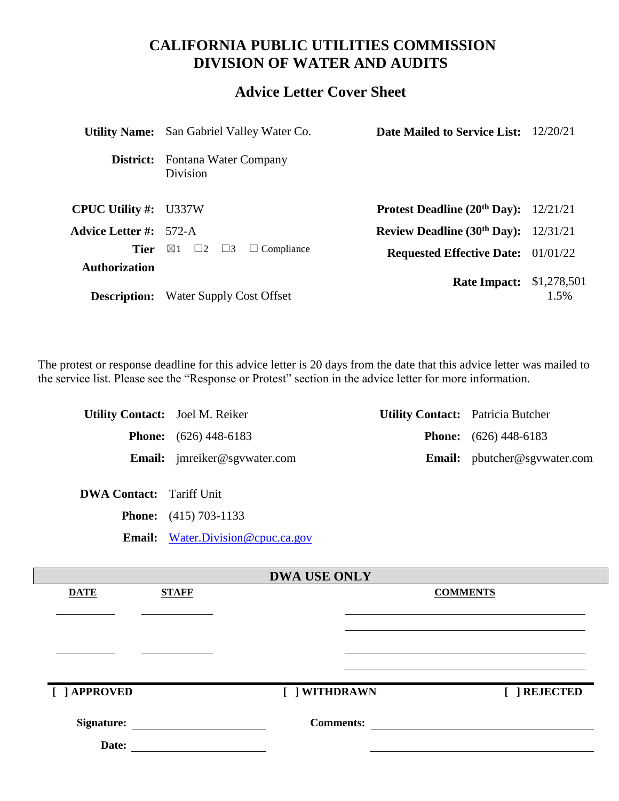# **CALIFORNIA PUBLIC UTILITIES COMMISSION DIVISION OF WATER AND AUDITS**

# **Advice Letter Cover Sheet**

| <b>Division</b>                                         |                                                                                                                                                                                                     |                                                                                                                                                                                                                            |
|---------------------------------------------------------|-----------------------------------------------------------------------------------------------------------------------------------------------------------------------------------------------------|----------------------------------------------------------------------------------------------------------------------------------------------------------------------------------------------------------------------------|
|                                                         |                                                                                                                                                                                                     |                                                                                                                                                                                                                            |
|                                                         |                                                                                                                                                                                                     |                                                                                                                                                                                                                            |
| $\boxtimes 1$<br>$\Box 2$ $\Box 3$<br>$\Box$ Compliance |                                                                                                                                                                                                     |                                                                                                                                                                                                                            |
|                                                         |                                                                                                                                                                                                     | $1.5\%$                                                                                                                                                                                                                    |
|                                                         | <b>Utility Name:</b> San Gabriel Valley Water Co.<br>Fontana Water Company<br><b>CPUC Utility #:</b> U337W<br><b>Advice Letter #:</b> 572-A<br>Tier<br><b>Description:</b> Water Supply Cost Offset | <b>Date Mailed to Service List:</b> 12/20/21<br><b>Protest Deadline (20th Day):</b> $12/21/21$<br>Review Deadline $(30th$ Day): $12/31/21$<br><b>Requested Effective Date:</b> 01/01/22<br><b>Rate Impact:</b> \$1,278,501 |

The protest or response deadline for this advice letter is 20 days from the date that this advice letter was mailed to the service list. Please see the "Response or Protest" section in the advice letter for more information.

| <b>Utility Contact:</b> Joel M. Reiker |                                     | <b>Utility Contact:</b> Patricia Butcher |
|----------------------------------------|-------------------------------------|------------------------------------------|
|                                        | <b>Phone:</b> $(626)$ 448-6183      | <b>Phone:</b> $(626)$ 448-6183           |
|                                        | <b>Email:</b> imreiker@sgywater.com | <b>Email:</b> pbutcher@sgvwater.com      |

**DWA Contact:** Tariff Unit

**Phone:** (415) 703-1133

**Email:** [Water.Division@cpuc.ca.gov](mailto:Water.Division@cpuc.ca.gov)

| <b>DWA USE ONLY</b> |              |                  |                 |
|---------------------|--------------|------------------|-----------------|
| <b>DATE</b>         | <b>STAFF</b> |                  | <b>COMMENTS</b> |
|                     |              |                  |                 |
|                     |              |                  |                 |
|                     |              |                  |                 |
|                     |              |                  |                 |
|                     |              |                  |                 |
|                     |              |                  |                 |
| [ ] APPROVED        |              | [ ] WITHDRAWN    | [ ] REJECTED    |
|                     |              |                  |                 |
| <b>Signature:</b>   |              | <b>Comments:</b> |                 |
| Date:               |              |                  |                 |
|                     |              |                  |                 |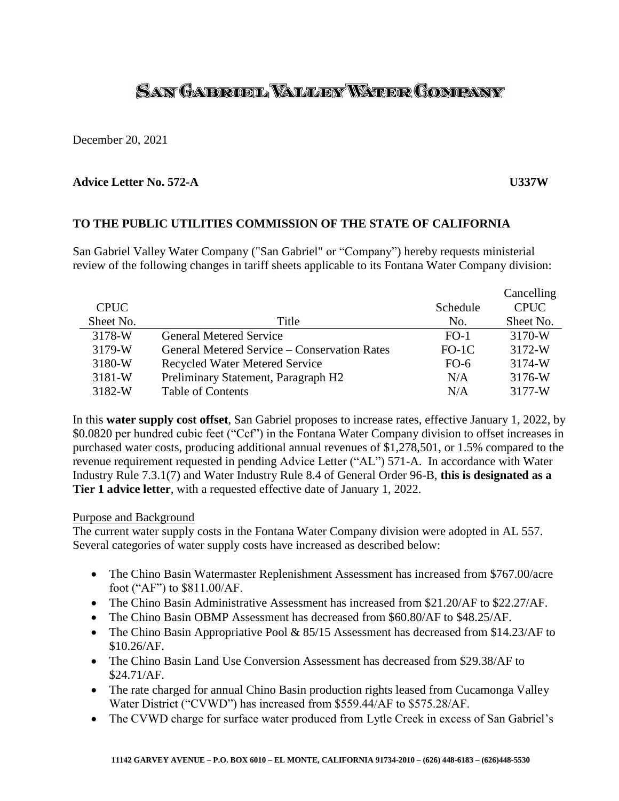# SAN GAERUEL VALLEY WATER COMPANY

December 20, 2021

# **Advice Letter No. 572-A U337W**

# **TO THE PUBLIC UTILITIES COMMISSION OF THE STATE OF CALIFORNIA**

San Gabriel Valley Water Company ("San Gabriel" or "Company") hereby requests ministerial review of the following changes in tariff sheets applicable to its Fontana Water Company division:

|             |                                              |          | Cancelling  |
|-------------|----------------------------------------------|----------|-------------|
| <b>CPUC</b> |                                              | Schedule | <b>CPUC</b> |
| Sheet No.   | Title                                        | No.      | Sheet No.   |
| 3178-W      | <b>General Metered Service</b>               | $FO-1$   | 3170-W      |
| 3179-W      | General Metered Service – Conservation Rates | $FO-1C$  | 3172-W      |
| 3180-W      | <b>Recycled Water Metered Service</b>        | $FO-6$   | 3174-W      |
| $3181-W$    | Preliminary Statement, Paragraph H2          | N/A      | 3176-W      |
| 3182-W      | <b>Table of Contents</b>                     | N/A      | 3177-W      |

In this **water supply cost offset**, San Gabriel proposes to increase rates, effective January 1, 2022, by \$0.0820 per hundred cubic feet ("Ccf") in the Fontana Water Company division to offset increases in purchased water costs, producing additional annual revenues of \$1,278,501, or 1.5% compared to the revenue requirement requested in pending Advice Letter ("AL") 571-A. In accordance with Water Industry Rule 7.3.1(7) and Water Industry Rule 8.4 of General Order 96-B, **this is designated as a Tier 1 advice letter**, with a requested effective date of January 1, 2022.

### Purpose and Background

The current water supply costs in the Fontana Water Company division were adopted in AL 557. Several categories of water supply costs have increased as described below:

- The Chino Basin Watermaster Replenishment Assessment has increased from \$767.00/acre foot ("AF") to \$811.00/AF.
- The Chino Basin Administrative Assessment has increased from \$21.20/AF to \$22.27/AF.
- The Chino Basin OBMP Assessment has decreased from \$60.80/AF to \$48.25/AF.
- The Chino Basin Appropriative Pool & 85/15 Assessment has decreased from \$14.23/AF to \$10.26/AF.
- The Chino Basin Land Use Conversion Assessment has decreased from \$29.38/AF to \$24.71/AF.
- The rate charged for annual Chino Basin production rights leased from Cucamonga Valley Water District ("CVWD") has increased from \$559.44/AF to \$575.28/AF.
- The CVWD charge for surface water produced from Lytle Creek in excess of San Gabriel's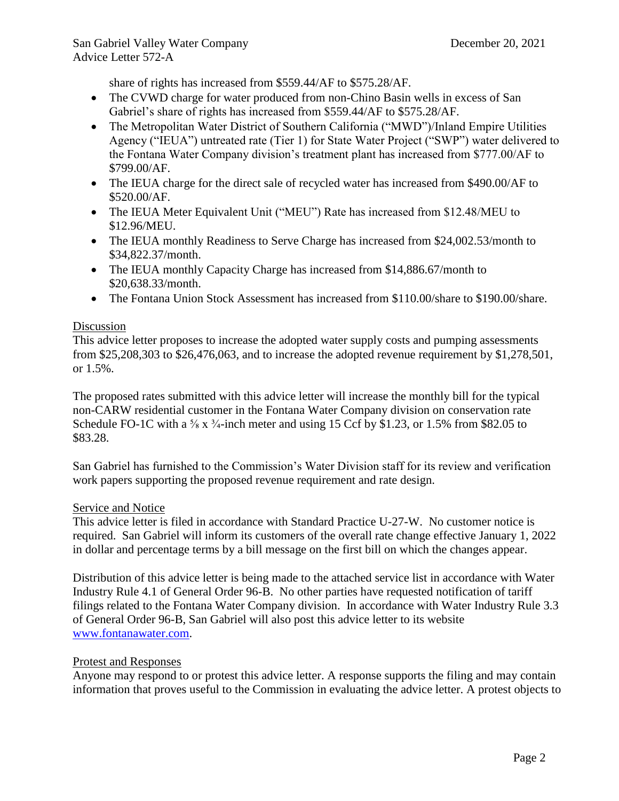share of rights has increased from \$559.44/AF to \$575.28/AF.

- The CVWD charge for water produced from non-Chino Basin wells in excess of San Gabriel's share of rights has increased from \$559.44/AF to \$575.28/AF.
- The Metropolitan Water District of Southern California ("MWD")/Inland Empire Utilities Agency ("IEUA") untreated rate (Tier 1) for State Water Project ("SWP") water delivered to the Fontana Water Company division's treatment plant has increased from \$777.00/AF to \$799.00/AF.
- The IEUA charge for the direct sale of recycled water has increased from \$490.00/AF to \$520.00/AF.
- The IEUA Meter Equivalent Unit ("MEU") Rate has increased from \$12.48/MEU to \$12.96/MEU.
- The IEUA monthly Readiness to Serve Charge has increased from \$24,002.53/month to \$34,822.37/month.
- The IEUA monthly Capacity Charge has increased from \$14,886.67/month to \$20,638.33/month.
- The Fontana Union Stock Assessment has increased from \$110.00/share to \$190.00/share.

# Discussion

This advice letter proposes to increase the adopted water supply costs and pumping assessments from \$25,208,303 to \$26,476,063, and to increase the adopted revenue requirement by \$1,278,501, or 1.5%.

The proposed rates submitted with this advice letter will increase the monthly bill for the typical non-CARW residential customer in the Fontana Water Company division on conservation rate Schedule FO-1C with a  $\frac{5}{8}$  x  $\frac{3}{4}$ -inch meter and using 15 Ccf by \$1.23, or 1.5% from \$82.05 to \$83.28.

San Gabriel has furnished to the Commission's Water Division staff for its review and verification work papers supporting the proposed revenue requirement and rate design.

# Service and Notice

This advice letter is filed in accordance with Standard Practice U-27-W. No customer notice is required. San Gabriel will inform its customers of the overall rate change effective January 1, 2022 in dollar and percentage terms by a bill message on the first bill on which the changes appear.

Distribution of this advice letter is being made to the attached service list in accordance with Water Industry Rule 4.1 of General Order 96-B. No other parties have requested notification of tariff filings related to the Fontana Water Company division. In accordance with Water Industry Rule 3.3 of General Order 96-B, San Gabriel will also post this advice letter to its website [www.fontanawater.com.](http://www.fontanawater.com/)

# Protest and Responses

Anyone may respond to or protest this advice letter. A response supports the filing and may contain information that proves useful to the Commission in evaluating the advice letter. A protest objects to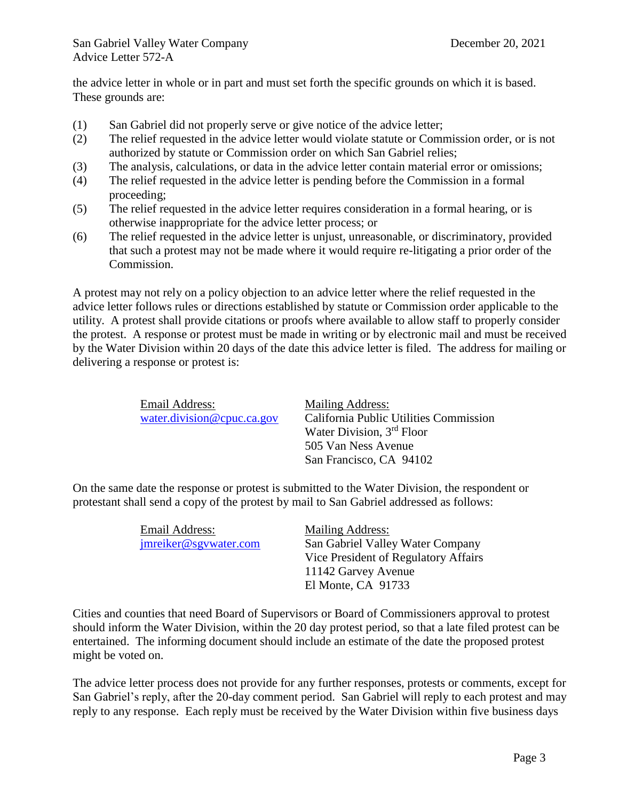the advice letter in whole or in part and must set forth the specific grounds on which it is based. These grounds are:

- (1) San Gabriel did not properly serve or give notice of the advice letter;
- (2) The relief requested in the advice letter would violate statute or Commission order, or is not authorized by statute or Commission order on which San Gabriel relies;
- (3) The analysis, calculations, or data in the advice letter contain material error or omissions;
- (4) The relief requested in the advice letter is pending before the Commission in a formal proceeding;
- (5) The relief requested in the advice letter requires consideration in a formal hearing, or is otherwise inappropriate for the advice letter process; or
- (6) The relief requested in the advice letter is unjust, unreasonable, or discriminatory, provided that such a protest may not be made where it would require re-litigating a prior order of the Commission.

A protest may not rely on a policy objection to an advice letter where the relief requested in the advice letter follows rules or directions established by statute or Commission order applicable to the utility. A protest shall provide citations or proofs where available to allow staff to properly consider the protest. A response or protest must be made in writing or by electronic mail and must be received by the Water Division within 20 days of the date this advice letter is filed. The address for mailing or delivering a response or protest is:

| Email Address:             | Mailing Address:                       |
|----------------------------|----------------------------------------|
| water.division@cpuc.ca.gov | California Public Utilities Commission |
|                            | Water Division, 3 <sup>rd</sup> Floor  |
|                            | 505 Van Ness Avenue                    |
|                            | San Francisco, CA 94102                |

On the same date the response or protest is submitted to the Water Division, the respondent or protestant shall send a copy of the protest by mail to San Gabriel addressed as follows:

| Email Address:        | Mailing Address:                     |
|-----------------------|--------------------------------------|
| jmreiker@sgywater.com | San Gabriel Valley Water Company     |
|                       | Vice President of Regulatory Affairs |
|                       | 11142 Garvey Avenue                  |
|                       | El Monte, CA 91733                   |

Cities and counties that need Board of Supervisors or Board of Commissioners approval to protest should inform the Water Division, within the 20 day protest period, so that a late filed protest can be entertained. The informing document should include an estimate of the date the proposed protest might be voted on.

The advice letter process does not provide for any further responses, protests or comments, except for San Gabriel's reply, after the 20-day comment period. San Gabriel will reply to each protest and may reply to any response. Each reply must be received by the Water Division within five business days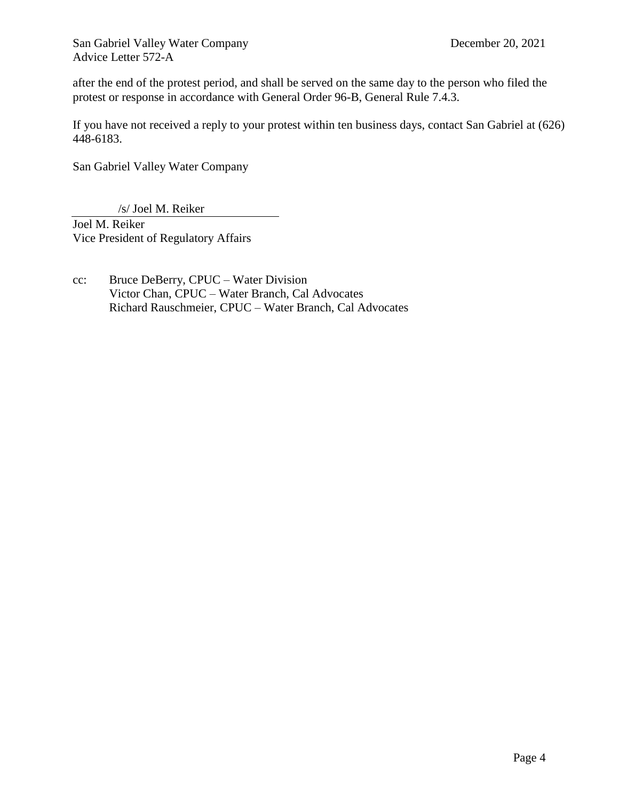San Gabriel Valley Water Company December 20, 2021 Advice Letter 572-A

after the end of the protest period, and shall be served on the same day to the person who filed the protest or response in accordance with General Order 96-B, General Rule 7.4.3.

If you have not received a reply to your protest within ten business days, contact San Gabriel at (626) 448-6183.

San Gabriel Valley Water Company

/s/ Joel M. Reiker

Joel M. Reiker Vice President of Regulatory Affairs

cc: Bruce DeBerry, CPUC – Water Division Victor Chan, CPUC – Water Branch, Cal Advocates Richard Rauschmeier, CPUC – Water Branch, Cal Advocates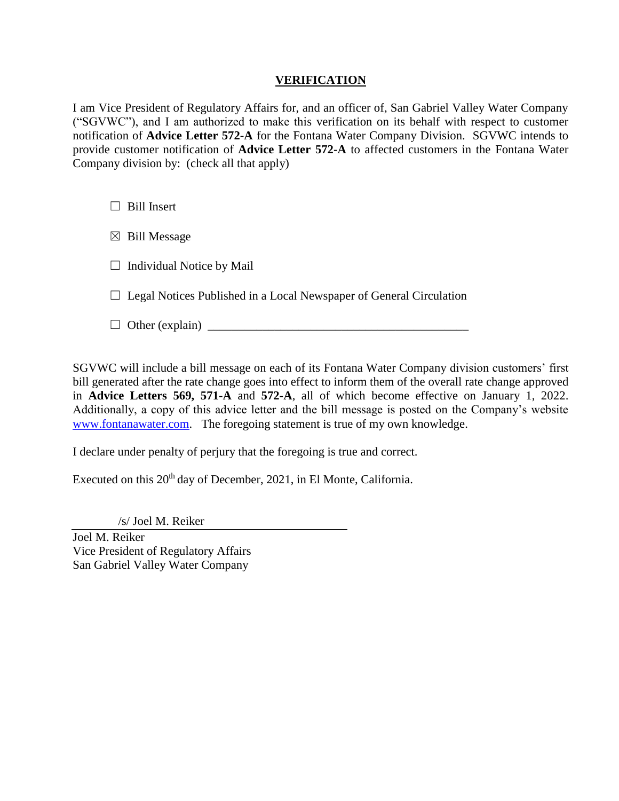# **VERIFICATION**

I am Vice President of Regulatory Affairs for, and an officer of, San Gabriel Valley Water Company ("SGVWC"), and I am authorized to make this verification on its behalf with respect to customer notification of **Advice Letter 572-A** for the Fontana Water Company Division. SGVWC intends to provide customer notification of **Advice Letter 572-A** to affected customers in the Fontana Water Company division by: (check all that apply)

 $\Box$  Bill Insert

 $\boxtimes$  Bill Message

 $\Box$  Individual Notice by Mail

 $\Box$  Legal Notices Published in a Local Newspaper of General Circulation

 $\Box$  Other (explain)  $\Box$ 

SGVWC will include a bill message on each of its Fontana Water Company division customers' first bill generated after the rate change goes into effect to inform them of the overall rate change approved in **Advice Letters 569, 571-A** and **572-A**, all of which become effective on January 1, 2022. Additionally, a copy of this advice letter and the bill message is posted on the Company's website [www.fontanawater.com.](http://www.fontanawater.com/) The foregoing statement is true of my own knowledge.

I declare under penalty of perjury that the foregoing is true and correct.

Executed on this 20<sup>th</sup> day of December, 2021, in El Monte, California.

/s/ Joel M. Reiker

Joel M. Reiker Vice President of Regulatory Affairs San Gabriel Valley Water Company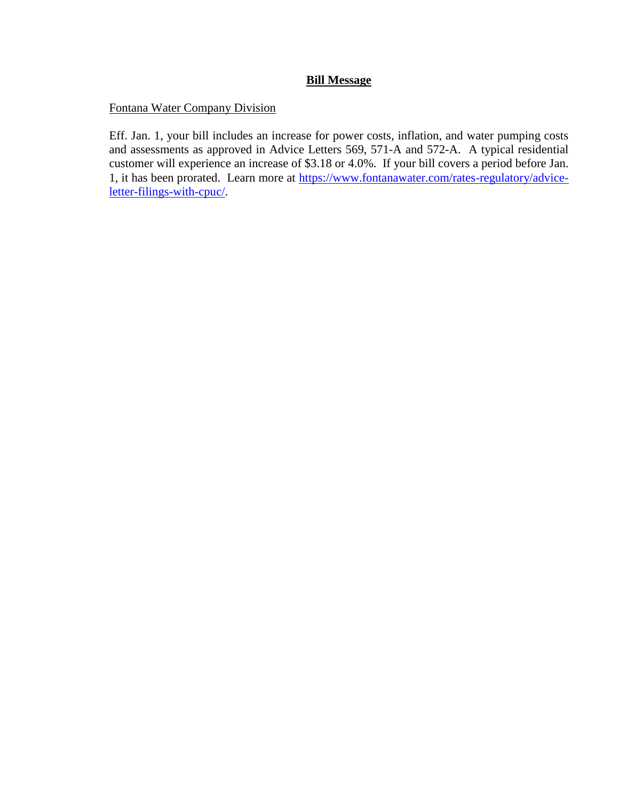# **Bill Message**

Fontana Water Company Division

Eff. Jan. 1, your bill includes an increase for power costs, inflation, and water pumping costs and assessments as approved in Advice Letters 569, 571-A and 572-A. A typical residential customer will experience an increase of \$3.18 or 4.0%. If your bill covers a period before Jan. 1, it has been prorated. Learn more at [https://www.fontanawater.com/rates-regulatory/advice](https://www.fontanawater.com/rates-regulatory/advice-letter-filings-with-cpuc/)[letter-filings-with-cpuc/.](https://www.fontanawater.com/rates-regulatory/advice-letter-filings-with-cpuc/)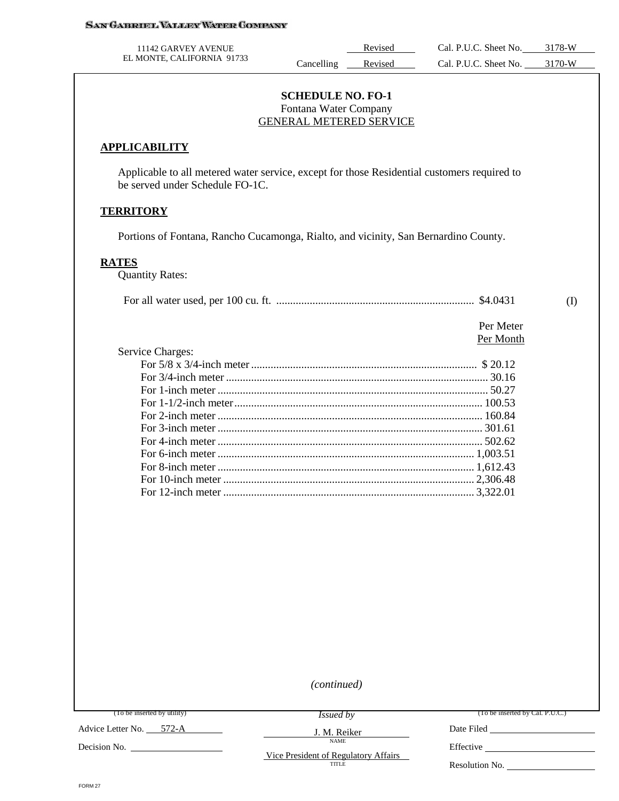| 11142 GARVEY AVENUE        |            | Revised | Cal. P.U.C. Sheet No. | 3178-W |
|----------------------------|------------|---------|-----------------------|--------|
| EL MONTE, CALIFORNIA 91733 | ancelling' | Revised | Cal. P.U.C. Sheet No. | 3170-W |

#### **SCHEDULE NO. FO-1** Fontana Water Company GENERAL METERED SERVICE

#### **APPLICABILITY**

Applicable to all metered water service, except for those Residential customers required to be served under Schedule FO-1C.

#### **TERRITORY**

Portions of Fontana, Rancho Cucamonga, Rialto, and vicinity, San Bernardino County.

#### **RATES**

Quantity Rates:

|  |  | \$4.0431 |  |  |
|--|--|----------|--|--|
|--|--|----------|--|--|

 Per Meter Per Month

| Service Charges: |  |
|------------------|--|
|                  |  |
|                  |  |
|                  |  |
|                  |  |
|                  |  |
|                  |  |
|                  |  |
|                  |  |
|                  |  |
|                  |  |
|                  |  |

*(continued)*

J. M. Reiker NAME

(To be inserted by utility)

*Issued by*

(To be inserted by Cal. P.U.C.)

Date Filed

Advice Letter No. 572-A

Decision No.

Vice President of Regulatory Affairs TITLE

Effective

Resolution No.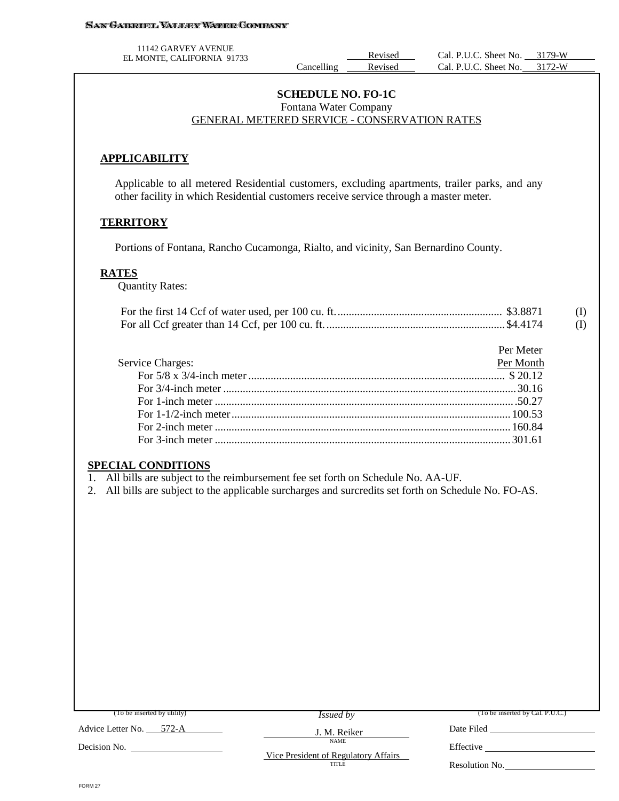#### **SAN GABRIEL VALLEY WATER COMPANY**

11142 GARVEY AVENUE

EL MONTE, CALIFORNIA 91733<br>Cancelling Revised Cal. P.U.C. Sheet No. 3179-W<br>Revised Cal. P.U.C. Sheet No. 3172-W Cal. P.U.C. Sheet No.

#### **SCHEDULE NO. FO-1C** Fontana Water Company GENERAL METERED SERVICE - CONSERVATION RATES

## **APPLICABILITY**

Applicable to all metered Residential customers, excluding apartments, trailer parks, and any other facility in which Residential customers receive service through a master meter.

### **TERRITORY**

Portions of Fontana, Rancho Cucamonga, Rialto, and vicinity, San Bernardino County.

### **RATES**

Quantity Rates:

|  | (I) |
|--|-----|
|  |     |

|                  | Per Meter |
|------------------|-----------|
| Service Charges: | Per Month |
|                  |           |
|                  |           |
|                  |           |
|                  |           |
|                  |           |
|                  |           |
|                  |           |

### **SPECIAL CONDITIONS**

1. All bills are subject to the reimbursement fee set forth on Schedule No. AA-UF.

2. All bills are subject to the applicable surcharges and surcredits set forth on Schedule No. FO-AS.

| (To be inserted by utility) | <i>Issued by</i>                     | (To be inserted by Cal. P.U.C.) |
|-----------------------------|--------------------------------------|---------------------------------|
| Advice Letter No. 572-A     | J. M. Reiker                         | Date Filed                      |
| Decision No.                | <b>NAME</b>                          | Effective                       |
| TITLE                       | Vice President of Regulatory Affairs | Resolution No.                  |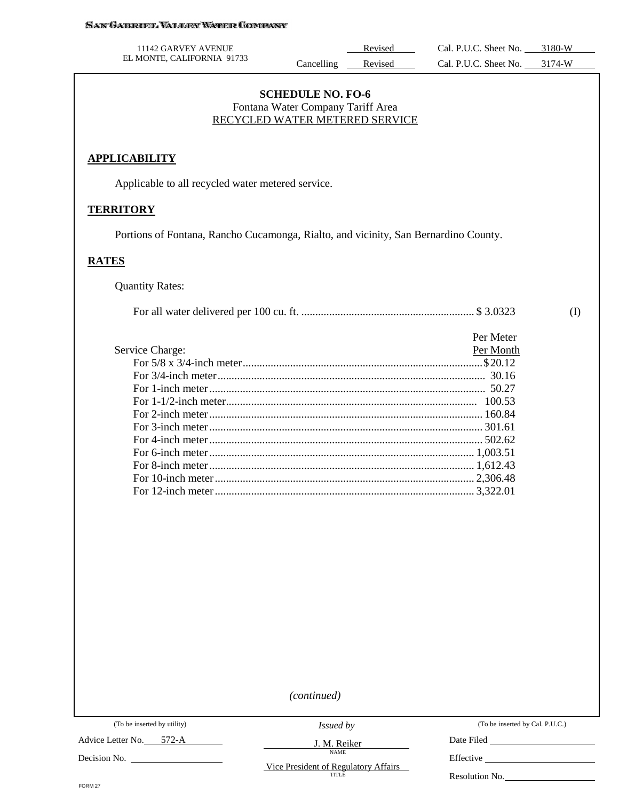#### **SAN GABRIEL VALLEY WATER COMPANY**

| 11142 GARVEY AVENUE        |            | Revised | Cal. P.U.C. Sheet No. | 3180-W |
|----------------------------|------------|---------|-----------------------|--------|
| EL MONTE, CALIFORNIA 91733 | Cancelling | Revised | Cal. P.U.C. Sheet No. | 3174-W |

## **SCHEDULE NO. FO-6** Fontana Water Company Tariff Area RECYCLED WATER METERED SERVICE

## **APPLICABILITY**

Applicable to all recycled water metered service.

#### **TERRITORY**

Portions of Fontana, Rancho Cucamonga, Rialto, and vicinity, San Bernardino County.

## **RATES**

Quantity Rates:

|                 | Per Meter |
|-----------------|-----------|
| Service Charge: | Per Month |
|                 |           |
|                 |           |
|                 |           |
|                 |           |
|                 |           |
|                 |           |
|                 |           |
|                 |           |
|                 |           |
|                 |           |
|                 |           |

*(continued)*

Advice Letter No. 572-A

Decision No.

*Issued by* J. M. Reiker

NAME

(To be inserted by Cal. P.U.C.)

(I)

Date Filed

Effective \_\_\_\_\_\_

Vice President of Regulatory Affairs

Resolution No.

FORM 27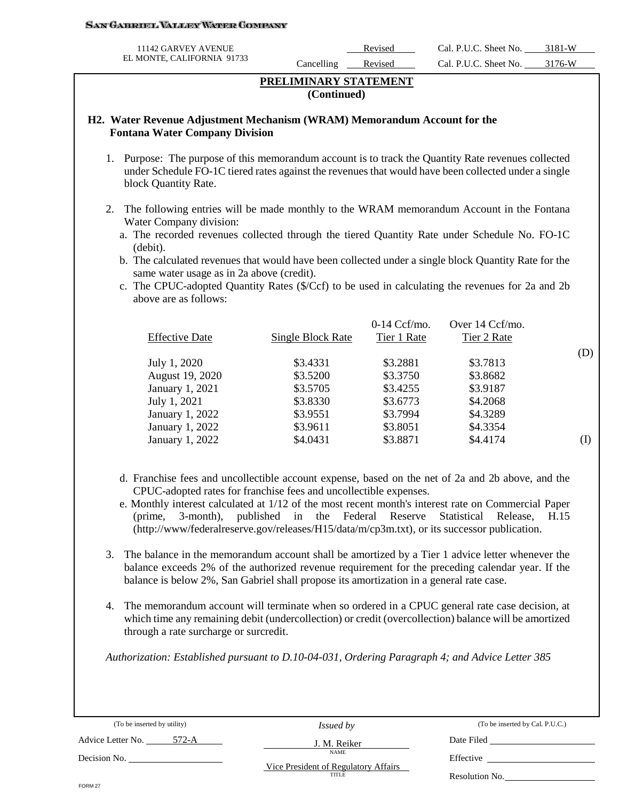#### San Gabroel Valley Waper Company

| 11142 GARVEY AVENUE        |            | Revised | Cal. P.U.C. Sheet No. | 3181-W |
|----------------------------|------------|---------|-----------------------|--------|
| EL MONTE, CALIFORNIA 91733 | ancelling_ | Revised | Cal. P.U.C. Sheet No. | 3176-W |

## **PRELIMINARY STATEMENT (Continued)**

### **H2. Water Revenue Adjustment Mechanism (WRAM) Memorandum Account for the Fontana Water Company Division**

- 1. Purpose: The purpose of this memorandum account is to track the Quantity Rate revenues collected under Schedule FO-1C tiered rates against the revenues that would have been collected under a single block Quantity Rate.
- 2. The following entries will be made monthly to the WRAM memorandum Account in the Fontana Water Company division:
	- a. The recorded revenues collected through the tiered Quantity Rate under Schedule No. FO-1C (debit).
	- b. The calculated revenues that would have been collected under a single block Quantity Rate for the same water usage as in 2a above (credit).
	- c. The CPUC-adopted Quantity Rates (\$/Ccf) to be used in calculating the revenues for 2a and 2b above are as follows:

|                       |                   | $0-14$ Ccf/mo. | Over 14 Ccf/mo. |     |
|-----------------------|-------------------|----------------|-----------------|-----|
| <b>Effective Date</b> | Single Block Rate | Tier 1 Rate    | Tier 2 Rate     |     |
|                       |                   |                |                 | (D) |
| July 1, 2020          | \$3.4331          | \$3.2881       | \$3.7813        |     |
| August 19, 2020       | \$3.5200          | \$3.3750       | \$3.8682        |     |
| January 1, 2021       | \$3.5705          | \$3.4255       | \$3.9187        |     |
| July 1, 2021          | \$3.8330          | \$3.6773       | \$4.2068        |     |
| January 1, 2022       | \$3.9551          | \$3.7994       | \$4.3289        |     |
| January 1, 2022       | \$3.9611          | \$3.8051       | \$4.3354        |     |
| January 1, 2022       | \$4.0431          | \$3.8871       | \$4.4174        | (1) |
|                       |                   |                |                 |     |

- d. Franchise fees and uncollectible account expense, based on the net of 2a and 2b above, and the CPUC-adopted rates for franchise fees and uncollectible expenses.
- e. Monthly interest calculated at 1/12 of the most recent month's interest rate on Commercial Paper (prime, 3-month), published in the Federal Reserve Statistical Release, H.15 (http://www/federalreserve.gov/releases/H15/data/m/cp3m.txt), or its successor publication.
- 3. The balance in the memorandum account shall be amortized by a Tier 1 advice letter whenever the balance exceeds 2% of the authorized revenue requirement for the preceding calendar year. If the balance is below 2%, San Gabriel shall propose its amortization in a general rate case.
- 4. The memorandum account will terminate when so ordered in a CPUC general rate case decision, at which time any remaining debit (undercollection) or credit (overcollection) balance will be amortized through a rate surcharge or surcredit.

*Authorization: Established pursuant to D.10-04-031, Ordering Paragraph 4; and Advice Letter 385* 

(To be inserted by utility)

Advice Letter No. 572-A

*Issued by* J. M. Reiker

NAME

(To be inserted by Cal. P.U.C.)

Date Filed Effective

Resolution No.

Decision No.

Vice President of Regulatory Affairs **TITLE**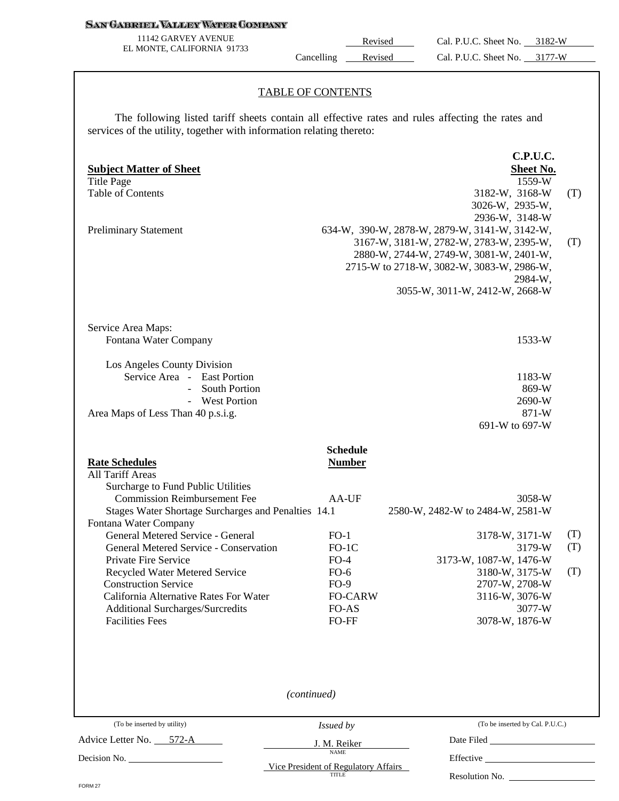#### **SAN GABRIEL VALLEY WATER COMPANY**

11142 GARVEY AVENUE EL MONTE, CALIFORNIA 91733

Revised Cal. P.U.C. Sheet No. 3182-W Cancelling Revised Cal. P.U.C. Sheet No. 3177-W

#### TABLE OF CONTENTS

The following listed tariff sheets contain all effective rates and rules affecting the rates and services of the utility, together with information relating thereto:

| <b>Subject Matter of Sheet</b><br><b>Title Page</b><br><b>Table of Contents</b><br><b>Preliminary Statement</b>                                                                                                                                                                                                                                                                                                                                                                                                                     |                                                                                                                                  | C.P.U.C.<br>Sheet No.<br>1559-W<br>3182-W, 3168-W<br>(T)<br>3026-W, 2935-W,<br>2936-W, 3148-W<br>634-W, 390-W, 2878-W, 2879-W, 3141-W, 3142-W,<br>3167-W, 3181-W, 2782-W, 2783-W, 2395-W,<br>(T)<br>2880-W, 2744-W, 2749-W, 3081-W, 2401-W,<br>2715-W to 2718-W, 3082-W, 3083-W, 2986-W,<br>2984-W,<br>3055-W, 3011-W, 2412-W, 2668-W |  |
|-------------------------------------------------------------------------------------------------------------------------------------------------------------------------------------------------------------------------------------------------------------------------------------------------------------------------------------------------------------------------------------------------------------------------------------------------------------------------------------------------------------------------------------|----------------------------------------------------------------------------------------------------------------------------------|---------------------------------------------------------------------------------------------------------------------------------------------------------------------------------------------------------------------------------------------------------------------------------------------------------------------------------------|--|
| Service Area Maps:<br>Fontana Water Company<br>Los Angeles County Division<br>Service Area - East Portion<br><b>South Portion</b><br>$\equiv$<br>- West Portion                                                                                                                                                                                                                                                                                                                                                                     |                                                                                                                                  | 1533-W<br>1183-W<br>869-W<br>2690-W                                                                                                                                                                                                                                                                                                   |  |
| Area Maps of Less Than 40 p.s.i.g.<br><b>Rate Schedules</b><br>All Tariff Areas<br>Surcharge to Fund Public Utilities<br><b>Commission Reimbursement Fee</b><br>Stages Water Shortage Surcharges and Penalties 14.1<br>Fontana Water Company<br>General Metered Service - General<br>General Metered Service - Conservation<br>Private Fire Service<br>Recycled Water Metered Service<br><b>Construction Service</b><br>California Alternative Rates For Water<br><b>Additional Surcharges/Surcredits</b><br><b>Facilities Fees</b> | <b>Schedule</b><br><b>Number</b><br>AA-UF<br>$FO-1$<br>$FO-1C$<br>$FO-4$<br>$FO-6$<br>$FO-9$<br><b>FO-CARW</b><br>FO-AS<br>FO-FF | 871-W<br>691-W to 697-W<br>3058-W<br>2580-W, 2482-W to 2484-W, 2581-W<br>(T)<br>3178-W, 3171-W<br>(T)<br>3179-W<br>3173-W, 1087-W, 1476-W<br>3180-W, 3175-W<br>(T)<br>2707-W, 2708-W<br>3116-W, 3076-W<br>3077-W<br>3078-W, 1876-W                                                                                                    |  |
| (To be inserted by utility)<br>Advice Letter No. 572-A<br>Decision No. 1998.                                                                                                                                                                                                                                                                                                                                                                                                                                                        | (continued)<br>Issued by<br>J. M. Reiker<br><b>NAME</b><br>Vice President of Regulatory Affairs<br><b>TITLE</b>                  | (To be inserted by Cal. P.U.C.)<br>Date Filed<br>Resolution No.                                                                                                                                                                                                                                                                       |  |